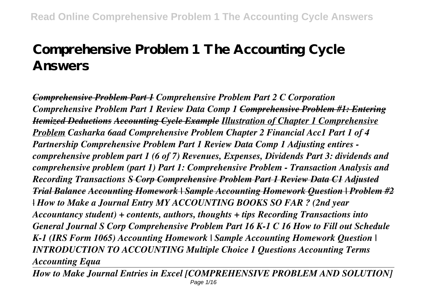## **Comprehensive Problem 1 The Accounting Cycle Answers**

*Comprehensive Problem Part 1 Comprehensive Problem Part 2 C Corporation Comprehensive Problem Part 1 Review Data Comp 1 Comprehensive Problem #1: Entering Itemized Deductions Accounting Cycle Example Illustration of Chapter 1 Comprehensive Problem Casharka 6aad Comprehensive Problem Chapter 2 Financial Acc1 Part 1 of 4 Partnership Comprehensive Problem Part 1 Review Data Comp 1 Adjusting entires comprehensive problem part 1 (6 of 7) Revenues, Expenses, Dividends Part 3: dividends and comprehensive problem (part 1) Part 1: Comprehensive Problem - Transaction Analysis and Recording Transactions S Corp Comprehensive Problem Part 1 Review Data C1 Adjusted Trial Balance Accounting Homework | Sample Accounting Homework Question | Problem #2 | How to Make a Journal Entry MY ACCOUNTING BOOKS SO FAR ? (2nd year Accountancy student) + contents, authors, thoughts + tips Recording Transactions into General Journal S Corp Comprehensive Problem Part 16 K-1 C 16 How to Fill out Schedule K-1 (IRS Form 1065) Accounting Homework | Sample Accounting Homework Question | INTRODUCTION TO ACCOUNTING Multiple Choice 1 Questions Accounting Terms Accounting Equa*

*How to Make Journal Entries in Excel [COMPREHENSIVE PROBLEM AND SOLUTION]* Page 1/16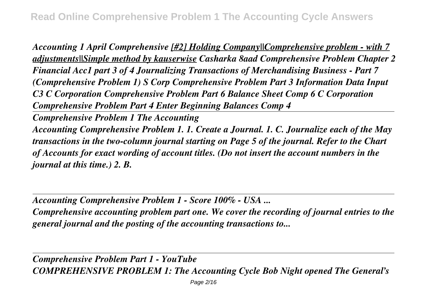*Accounting 1 April Comprehensive [#2] Holding Company||Comprehensive problem - with 7 adjustments||Simple method by kauserwise Casharka 8aad Comprehensive Problem Chapter 2 Financial Acc1 part 3 of 4 Journalizing Transactions of Merchandising Business - Part 7 (Comprehensive Problem 1) S Corp Comprehensive Problem Part 3 Information Data Input C3 C Corporation Comprehensive Problem Part 6 Balance Sheet Comp 6 C Corporation Comprehensive Problem Part 4 Enter Beginning Balances Comp 4*

*Comprehensive Problem 1 The Accounting*

*Accounting Comprehensive Problem 1. 1. Create a Journal. 1. C. Journalize each of the May transactions in the two-column journal starting on Page 5 of the journal. Refer to the Chart of Accounts for exact wording of account titles. (Do not insert the account numbers in the journal at this time.) 2. B.*

*Accounting Comprehensive Problem 1 - Score 100% - USA ...*

*Comprehensive accounting problem part one. We cover the recording of journal entries to the general journal and the posting of the accounting transactions to...*

*Comprehensive Problem Part 1 - YouTube COMPREHENSIVE PROBLEM 1: The Accounting Cycle Bob Night opened The General's*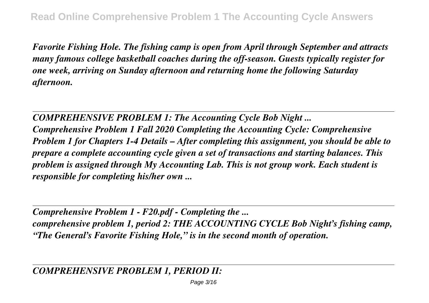*Favorite Fishing Hole. The fishing camp is open from April through September and attracts many famous college basketball coaches during the off-season. Guests typically register for one week, arriving on Sunday afternoon and returning home the following Saturday afternoon.*

*COMPREHENSIVE PROBLEM 1: The Accounting Cycle Bob Night ... Comprehensive Problem 1 Fall 2020 Completing the Accounting Cycle: Comprehensive Problem 1 for Chapters 1-4 Details – After completing this assignment, you should be able to prepare a complete accounting cycle given a set of transactions and starting balances. This problem is assigned through My Accounting Lab. This is not group work. Each student is responsible for completing his/her own ...*

*Comprehensive Problem 1 - F20.pdf - Completing the ... comprehensive problem 1, period 2: THE ACCOUNTING CYCLE Bob Night's fishing camp, "The General's Favorite Fishing Hole," is in the second month of operation.*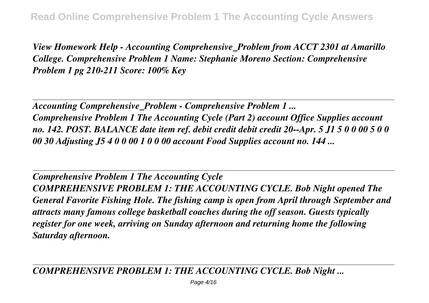*View Homework Help - Accounting Comprehensive\_Problem from ACCT 2301 at Amarillo College. Comprehensive Problem 1 Name: Stephanie Moreno Section: Comprehensive Problem 1 pg 210-211 Score: 100% Key*

*Accounting Comprehensive\_Problem - Comprehensive Problem 1 ... Comprehensive Problem 1 The Accounting Cycle (Part 2) account Office Supplies account no. 142. POST. BALANCE date item ref. debit credit debit credit 20--Apr. 5 J1 5 0 0 00 5 0 0 00 30 Adjusting J5 4 0 0 00 1 0 0 00 account Food Supplies account no. 144 ...*

*Comprehensive Problem 1 The Accounting Cycle COMPREHENSIVE PROBLEM 1: THE ACCOUNTING CYCLE. Bob Night opened The General Favorite Fishing Hole. The fishing camp is open from April through September and attracts many famous college basketball coaches during the off season. Guests typically register for one week, arriving on Sunday afternoon and returning home the following Saturday afternoon.*

*COMPREHENSIVE PROBLEM 1: THE ACCOUNTING CYCLE. Bob Night ...*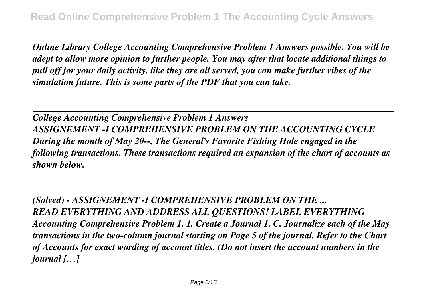*Online Library College Accounting Comprehensive Problem 1 Answers possible. You will be adept to allow more opinion to further people. You may after that locate additional things to pull off for your daily activity. like they are all served, you can make further vibes of the simulation future. This is some parts of the PDF that you can take.*

*College Accounting Comprehensive Problem 1 Answers ASSIGNEMENT -I COMPREHENSIVE PROBLEM ON THE ACCOUNTING CYCLE During the month of May 20--, The General's Favorite Fishing Hole engaged in the following transactions. These transactions required an expansion of the chart of accounts as shown below.*

*(Solved) - ASSIGNEMENT -I COMPREHENSIVE PROBLEM ON THE ... READ EVERYTHING AND ADDRESS ALL QUESTIONS! LABEL EVERYTHING Accounting Comprehensive Problem 1. 1. Create a Journal 1. C. Journalize each of the May transactions in the two-column journal starting on Page 5 of the journal. Refer to the Chart of Accounts for exact wording of account titles. (Do not insert the account numbers in the journal […]*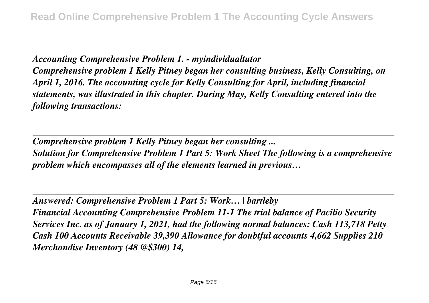*Accounting Comprehensive Problem 1. - myindividualtutor Comprehensive problem 1 Kelly Pitney began her consulting business, Kelly Consulting, on April 1, 2016. The accounting cycle for Kelly Consulting for April, including financial statements, was illustrated in this chapter. During May, Kelly Consulting entered into the following transactions:*

*Comprehensive problem 1 Kelly Pitney began her consulting ... Solution for Comprehensive Problem 1 Part 5: Work Sheet The following is a comprehensive problem which encompasses all of the elements learned in previous…*

*Answered: Comprehensive Problem 1 Part 5: Work… | bartleby Financial Accounting Comprehensive Problem 11-1 The trial balance of Pacilio Security Services Inc. as of January 1, 2021, had the following normal balances: Cash 113,718 Petty Cash 100 Accounts Receivable 39,390 Allowance for doubtful accounts 4,662 Supplies 210 Merchandise Inventory (48 @\$300) 14,*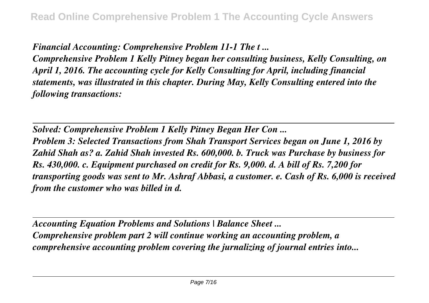*Financial Accounting: Comprehensive Problem 11-1 The t ...*

*Comprehensive Problem 1 Kelly Pitney began her consulting business, Kelly Consulting, on April 1, 2016. The accounting cycle for Kelly Consulting for April, including financial statements, was illustrated in this chapter. During May, Kelly Consulting entered into the following transactions:*

*Solved: Comprehensive Problem 1 Kelly Pitney Began Her Con ... Problem 3: Selected Transactions from Shah Transport Services began on June 1, 2016 by Zahid Shah as? a. Zahid Shah invested Rs. 600,000. b. Truck was Purchase by business for Rs. 430,000. c. Equipment purchased on credit for Rs. 9,000. d. A bill of Rs. 7,200 for transporting goods was sent to Mr. Ashraf Abbasi, a customer. e. Cash of Rs. 6,000 is received from the customer who was billed in d.*

*Accounting Equation Problems and Solutions | Balance Sheet ... Comprehensive problem part 2 will continue working an accounting problem, a comprehensive accounting problem covering the jurnalizing of journal entries into...*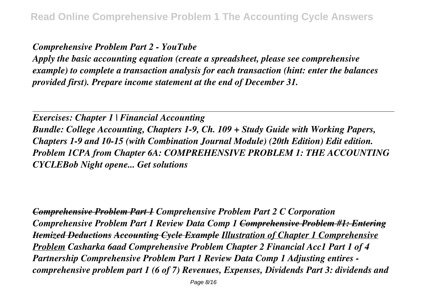## *Comprehensive Problem Part 2 - YouTube*

*Apply the basic accounting equation (create a spreadsheet, please see comprehensive example) to complete a transaction analysis for each transaction (hint: enter the balances provided first). Prepare income statement at the end of December 31.*

*Exercises: Chapter 1 | Financial Accounting Bundle: College Accounting, Chapters 1-9, Ch. 109 + Study Guide with Working Papers, Chapters 1-9 and 10-15 (with Combination Journal Module) (20th Edition) Edit edition. Problem 1CPA from Chapter 6A: COMPREHENSIVE PROBLEM 1: THE ACCOUNTING CYCLEBob Night opene... Get solutions*

*Comprehensive Problem Part 1 Comprehensive Problem Part 2 C Corporation Comprehensive Problem Part 1 Review Data Comp 1 Comprehensive Problem #1: Entering Itemized Deductions Accounting Cycle Example Illustration of Chapter 1 Comprehensive Problem Casharka 6aad Comprehensive Problem Chapter 2 Financial Acc1 Part 1 of 4 Partnership Comprehensive Problem Part 1 Review Data Comp 1 Adjusting entires comprehensive problem part 1 (6 of 7) Revenues, Expenses, Dividends Part 3: dividends and*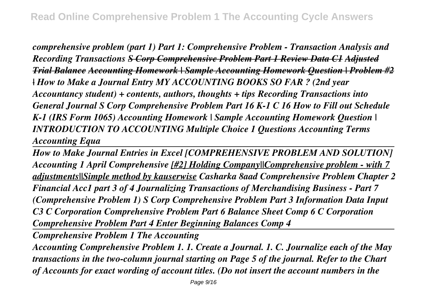*comprehensive problem (part 1) Part 1: Comprehensive Problem - Transaction Analysis and Recording Transactions S Corp Comprehensive Problem Part 1 Review Data C1 Adjusted Trial Balance Accounting Homework | Sample Accounting Homework Question | Problem #2 | How to Make a Journal Entry MY ACCOUNTING BOOKS SO FAR ? (2nd year Accountancy student) + contents, authors, thoughts + tips Recording Transactions into General Journal S Corp Comprehensive Problem Part 16 K-1 C 16 How to Fill out Schedule K-1 (IRS Form 1065) Accounting Homework | Sample Accounting Homework Question | INTRODUCTION TO ACCOUNTING Multiple Choice 1 Questions Accounting Terms Accounting Equa*

*How to Make Journal Entries in Excel [COMPREHENSIVE PROBLEM AND SOLUTION] Accounting 1 April Comprehensive [#2] Holding Company||Comprehensive problem - with 7 adjustments||Simple method by kauserwise Casharka 8aad Comprehensive Problem Chapter 2 Financial Acc1 part 3 of 4 Journalizing Transactions of Merchandising Business - Part 7 (Comprehensive Problem 1) S Corp Comprehensive Problem Part 3 Information Data Input C3 C Corporation Comprehensive Problem Part 6 Balance Sheet Comp 6 C Corporation Comprehensive Problem Part 4 Enter Beginning Balances Comp 4*

*Comprehensive Problem 1 The Accounting*

*Accounting Comprehensive Problem 1. 1. Create a Journal. 1. C. Journalize each of the May transactions in the two-column journal starting on Page 5 of the journal. Refer to the Chart of Accounts for exact wording of account titles. (Do not insert the account numbers in the*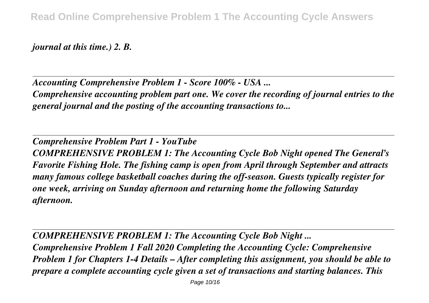*journal at this time.) 2. B.*

*Accounting Comprehensive Problem 1 - Score 100% - USA ...*

*Comprehensive accounting problem part one. We cover the recording of journal entries to the general journal and the posting of the accounting transactions to...*

*Comprehensive Problem Part 1 - YouTube COMPREHENSIVE PROBLEM 1: The Accounting Cycle Bob Night opened The General's Favorite Fishing Hole. The fishing camp is open from April through September and attracts many famous college basketball coaches during the off-season. Guests typically register for one week, arriving on Sunday afternoon and returning home the following Saturday afternoon.*

*COMPREHENSIVE PROBLEM 1: The Accounting Cycle Bob Night ... Comprehensive Problem 1 Fall 2020 Completing the Accounting Cycle: Comprehensive Problem 1 for Chapters 1-4 Details – After completing this assignment, you should be able to prepare a complete accounting cycle given a set of transactions and starting balances. This*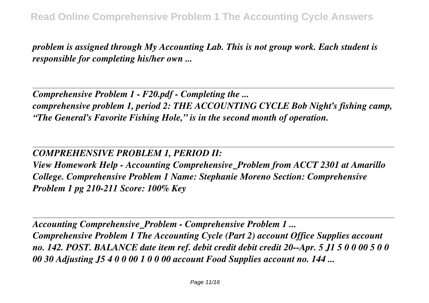*problem is assigned through My Accounting Lab. This is not group work. Each student is responsible for completing his/her own ...*

*Comprehensive Problem 1 - F20.pdf - Completing the ... comprehensive problem 1, period 2: THE ACCOUNTING CYCLE Bob Night's fishing camp, "The General's Favorite Fishing Hole," is in the second month of operation.*

## *COMPREHENSIVE PROBLEM 1, PERIOD II:*

*View Homework Help - Accounting Comprehensive\_Problem from ACCT 2301 at Amarillo College. Comprehensive Problem 1 Name: Stephanie Moreno Section: Comprehensive Problem 1 pg 210-211 Score: 100% Key*

*Accounting Comprehensive\_Problem - Comprehensive Problem 1 ... Comprehensive Problem 1 The Accounting Cycle (Part 2) account Office Supplies account no. 142. POST. BALANCE date item ref. debit credit debit credit 20--Apr. 5 J1 5 0 0 00 5 0 0 00 30 Adjusting J5 4 0 0 00 1 0 0 00 account Food Supplies account no. 144 ...*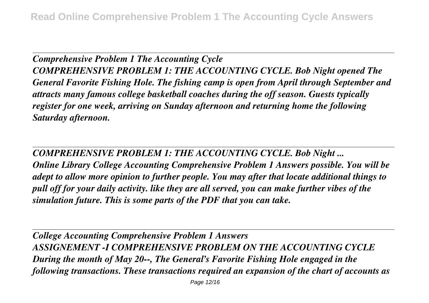*Comprehensive Problem 1 The Accounting Cycle COMPREHENSIVE PROBLEM 1: THE ACCOUNTING CYCLE. Bob Night opened The General Favorite Fishing Hole. The fishing camp is open from April through September and attracts many famous college basketball coaches during the off season. Guests typically register for one week, arriving on Sunday afternoon and returning home the following Saturday afternoon.*

*COMPREHENSIVE PROBLEM 1: THE ACCOUNTING CYCLE. Bob Night ...*

*Online Library College Accounting Comprehensive Problem 1 Answers possible. You will be adept to allow more opinion to further people. You may after that locate additional things to pull off for your daily activity. like they are all served, you can make further vibes of the simulation future. This is some parts of the PDF that you can take.*

*College Accounting Comprehensive Problem 1 Answers ASSIGNEMENT -I COMPREHENSIVE PROBLEM ON THE ACCOUNTING CYCLE During the month of May 20--, The General's Favorite Fishing Hole engaged in the following transactions. These transactions required an expansion of the chart of accounts as*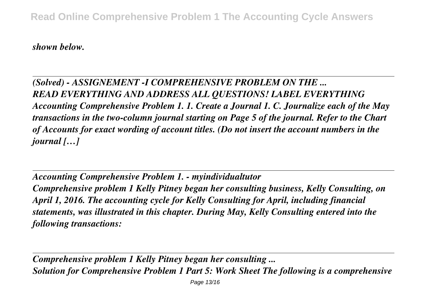*shown below.*

*(Solved) - ASSIGNEMENT -I COMPREHENSIVE PROBLEM ON THE ... READ EVERYTHING AND ADDRESS ALL QUESTIONS! LABEL EVERYTHING Accounting Comprehensive Problem 1. 1. Create a Journal 1. C. Journalize each of the May transactions in the two-column journal starting on Page 5 of the journal. Refer to the Chart of Accounts for exact wording of account titles. (Do not insert the account numbers in the journal […]*

*Accounting Comprehensive Problem 1. - myindividualtutor Comprehensive problem 1 Kelly Pitney began her consulting business, Kelly Consulting, on April 1, 2016. The accounting cycle for Kelly Consulting for April, including financial statements, was illustrated in this chapter. During May, Kelly Consulting entered into the following transactions:*

*Comprehensive problem 1 Kelly Pitney began her consulting ... Solution for Comprehensive Problem 1 Part 5: Work Sheet The following is a comprehensive*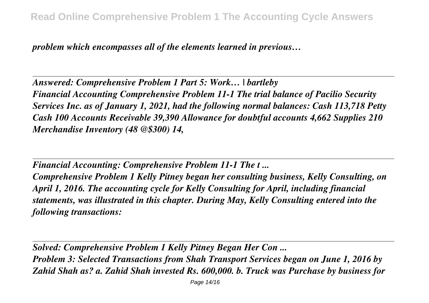*problem which encompasses all of the elements learned in previous…*

*Answered: Comprehensive Problem 1 Part 5: Work… | bartleby Financial Accounting Comprehensive Problem 11-1 The trial balance of Pacilio Security Services Inc. as of January 1, 2021, had the following normal balances: Cash 113,718 Petty Cash 100 Accounts Receivable 39,390 Allowance for doubtful accounts 4,662 Supplies 210 Merchandise Inventory (48 @\$300) 14,*

*Financial Accounting: Comprehensive Problem 11-1 The t ...*

*Comprehensive Problem 1 Kelly Pitney began her consulting business, Kelly Consulting, on April 1, 2016. The accounting cycle for Kelly Consulting for April, including financial statements, was illustrated in this chapter. During May, Kelly Consulting entered into the following transactions:*

*Solved: Comprehensive Problem 1 Kelly Pitney Began Her Con ...*

*Problem 3: Selected Transactions from Shah Transport Services began on June 1, 2016 by Zahid Shah as? a. Zahid Shah invested Rs. 600,000. b. Truck was Purchase by business for*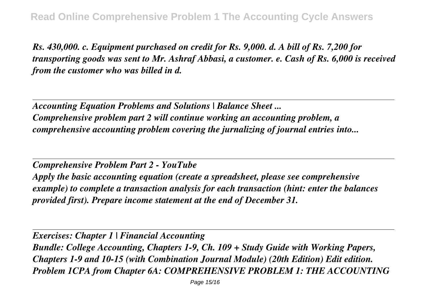*Rs. 430,000. c. Equipment purchased on credit for Rs. 9,000. d. A bill of Rs. 7,200 for transporting goods was sent to Mr. Ashraf Abbasi, a customer. e. Cash of Rs. 6,000 is received from the customer who was billed in d.*

*Accounting Equation Problems and Solutions | Balance Sheet ... Comprehensive problem part 2 will continue working an accounting problem, a comprehensive accounting problem covering the jurnalizing of journal entries into...*

*Comprehensive Problem Part 2 - YouTube Apply the basic accounting equation (create a spreadsheet, please see comprehensive example) to complete a transaction analysis for each transaction (hint: enter the balances provided first). Prepare income statement at the end of December 31.*

*Exercises: Chapter 1 | Financial Accounting Bundle: College Accounting, Chapters 1-9, Ch. 109 + Study Guide with Working Papers, Chapters 1-9 and 10-15 (with Combination Journal Module) (20th Edition) Edit edition. Problem 1CPA from Chapter 6A: COMPREHENSIVE PROBLEM 1: THE ACCOUNTING*